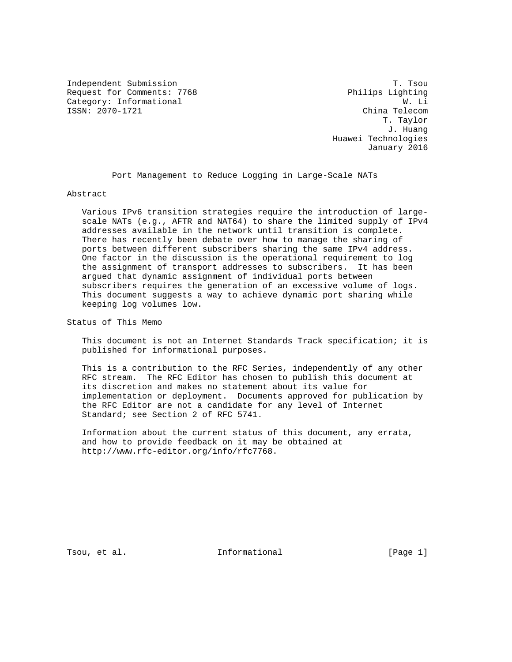Independent Submission T. Tsou Request for Comments: 7768 Philips Lighting Category: Informational  $W.$  Li<br>
ISSN: 2070-1721 China Telecom ISSN: 2070-1721

 T. Taylor J. Huang Huawei Technologies January 2016

Port Management to Reduce Logging in Large-Scale NATs

Abstract

 Various IPv6 transition strategies require the introduction of large scale NATs (e.g., AFTR and NAT64) to share the limited supply of IPv4 addresses available in the network until transition is complete. There has recently been debate over how to manage the sharing of ports between different subscribers sharing the same IPv4 address. One factor in the discussion is the operational requirement to log the assignment of transport addresses to subscribers. It has been argued that dynamic assignment of individual ports between subscribers requires the generation of an excessive volume of logs. This document suggests a way to achieve dynamic port sharing while keeping log volumes low.

Status of This Memo

 This document is not an Internet Standards Track specification; it is published for informational purposes.

 This is a contribution to the RFC Series, independently of any other RFC stream. The RFC Editor has chosen to publish this document at its discretion and makes no statement about its value for implementation or deployment. Documents approved for publication by the RFC Editor are not a candidate for any level of Internet Standard; see Section 2 of RFC 5741.

 Information about the current status of this document, any errata, and how to provide feedback on it may be obtained at http://www.rfc-editor.org/info/rfc7768.

Tsou, et al. The informational the same is the same in the same in the same is not in the same in the Theorem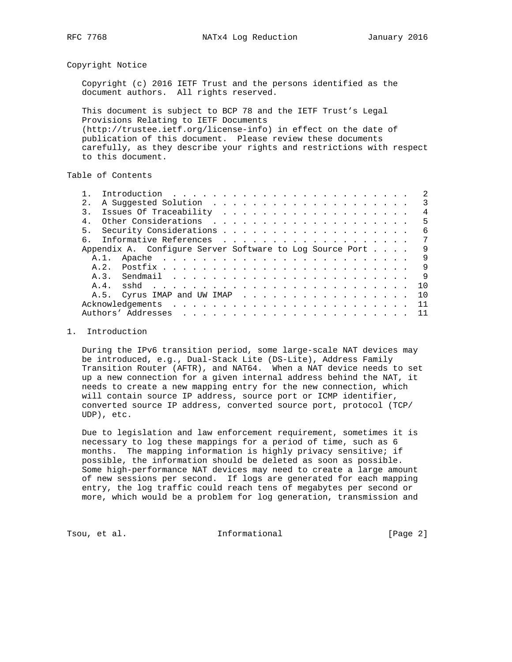Copyright Notice

 Copyright (c) 2016 IETF Trust and the persons identified as the document authors. All rights reserved.

 This document is subject to BCP 78 and the IETF Trust's Legal Provisions Relating to IETF Documents (http://trustee.ietf.org/license-info) in effect on the date of publication of this document. Please review these documents carefully, as they describe your rights and restrictions with respect to this document.

Table of Contents

|                                                          |      |                             |  |  |  |  |  |  |  |  |  |  |  |  |   |  |  |  | $\mathcal{L}$ |
|----------------------------------------------------------|------|-----------------------------|--|--|--|--|--|--|--|--|--|--|--|--|---|--|--|--|---------------|
| $2^{\circ}$                                              |      |                             |  |  |  |  |  |  |  |  |  |  |  |  |   |  |  |  | 3             |
| $\mathcal{R}$                                            |      |                             |  |  |  |  |  |  |  |  |  |  |  |  |   |  |  |  | 4             |
|                                                          |      |                             |  |  |  |  |  |  |  |  |  |  |  |  |   |  |  |  | 5             |
| 5 <sub>1</sub>                                           |      |                             |  |  |  |  |  |  |  |  |  |  |  |  |   |  |  |  | 6             |
| 6                                                        |      |                             |  |  |  |  |  |  |  |  |  |  |  |  |   |  |  |  | 7             |
| Appendix A. Configure Server Software to Log Source Port |      |                             |  |  |  |  |  |  |  |  |  |  |  |  | 9 |  |  |  |               |
|                                                          | A.1. |                             |  |  |  |  |  |  |  |  |  |  |  |  |   |  |  |  | 9             |
|                                                          | A 2  |                             |  |  |  |  |  |  |  |  |  |  |  |  |   |  |  |  | 9             |
|                                                          |      |                             |  |  |  |  |  |  |  |  |  |  |  |  |   |  |  |  | 9             |
|                                                          | A.4. | sshd                        |  |  |  |  |  |  |  |  |  |  |  |  |   |  |  |  | 1 O           |
|                                                          |      | A.5. Cyrus IMAP and UW IMAP |  |  |  |  |  |  |  |  |  |  |  |  |   |  |  |  | 10            |
|                                                          |      |                             |  |  |  |  |  |  |  |  |  |  |  |  |   |  |  |  | 11            |
|                                                          |      |                             |  |  |  |  |  |  |  |  |  |  |  |  |   |  |  |  |               |
|                                                          |      |                             |  |  |  |  |  |  |  |  |  |  |  |  |   |  |  |  |               |

## 1. Introduction

 During the IPv6 transition period, some large-scale NAT devices may be introduced, e.g., Dual-Stack Lite (DS-Lite), Address Family Transition Router (AFTR), and NAT64. When a NAT device needs to set up a new connection for a given internal address behind the NAT, it needs to create a new mapping entry for the new connection, which will contain source IP address, source port or ICMP identifier, converted source IP address, converted source port, protocol (TCP/ UDP), etc.

 Due to legislation and law enforcement requirement, sometimes it is necessary to log these mappings for a period of time, such as 6 months. The mapping information is highly privacy sensitive; if possible, the information should be deleted as soon as possible. Some high-performance NAT devices may need to create a large amount of new sessions per second. If logs are generated for each mapping entry, the log traffic could reach tens of megabytes per second or more, which would be a problem for log generation, transmission and

Tsou, et al. The informational The Informational [Page 2]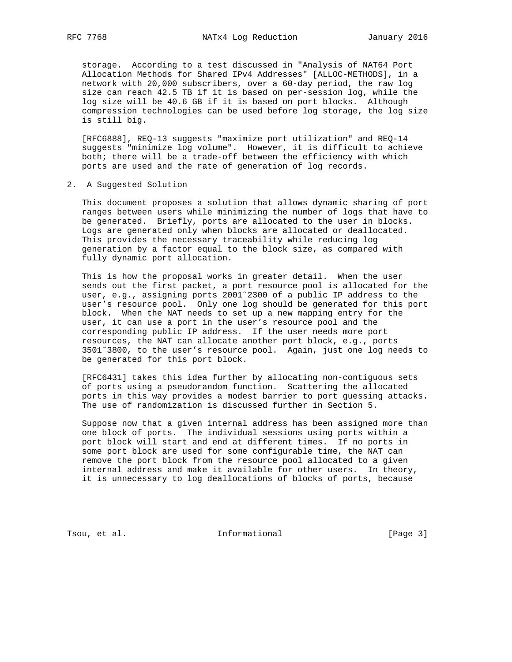storage. According to a test discussed in "Analysis of NAT64 Port Allocation Methods for Shared IPv4 Addresses" [ALLOC-METHODS], in a network with 20,000 subscribers, over a 60-day period, the raw log size can reach 42.5 TB if it is based on per-session log, while the log size will be 40.6 GB if it is based on port blocks. Although compression technologies can be used before log storage, the log size is still big.

 [RFC6888], REQ-13 suggests "maximize port utilization" and REQ-14 suggests "minimize log volume". However, it is difficult to achieve both; there will be a trade-off between the efficiency with which ports are used and the rate of generation of log records.

2. A Suggested Solution

 This document proposes a solution that allows dynamic sharing of port ranges between users while minimizing the number of logs that have to be generated. Briefly, ports are allocated to the user in blocks. Logs are generated only when blocks are allocated or deallocated. This provides the necessary traceability while reducing log generation by a factor equal to the block size, as compared with fully dynamic port allocation.

 This is how the proposal works in greater detail. When the user sends out the first packet, a port resource pool is allocated for the user, e.g., assigning ports 2001~2300 of a public IP address to the user's resource pool. Only one log should be generated for this port block. When the NAT needs to set up a new mapping entry for the user, it can use a port in the user's resource pool and the corresponding public IP address. If the user needs more port resources, the NAT can allocate another port block, e.g., ports 3501˜3800, to the user's resource pool. Again, just one log needs to be generated for this port block.

 [RFC6431] takes this idea further by allocating non-contiguous sets of ports using a pseudorandom function. Scattering the allocated ports in this way provides a modest barrier to port guessing attacks. The use of randomization is discussed further in Section 5.

 Suppose now that a given internal address has been assigned more than one block of ports. The individual sessions using ports within a port block will start and end at different times. If no ports in some port block are used for some configurable time, the NAT can remove the port block from the resource pool allocated to a given internal address and make it available for other users. In theory, it is unnecessary to log deallocations of blocks of ports, because

Tsou, et al. 10. Informational 1. [Page 3]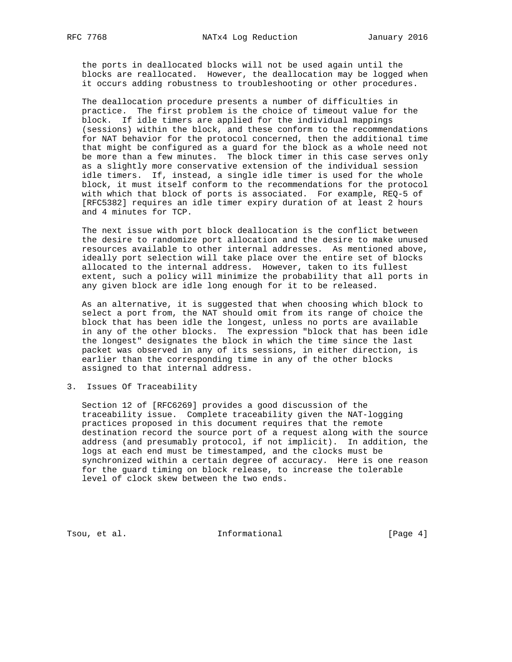the ports in deallocated blocks will not be used again until the blocks are reallocated. However, the deallocation may be logged when it occurs adding robustness to troubleshooting or other procedures.

 The deallocation procedure presents a number of difficulties in practice. The first problem is the choice of timeout value for the block. If idle timers are applied for the individual mappings (sessions) within the block, and these conform to the recommendations for NAT behavior for the protocol concerned, then the additional time that might be configured as a guard for the block as a whole need not be more than a few minutes. The block timer in this case serves only as a slightly more conservative extension of the individual session idle timers. If, instead, a single idle timer is used for the whole block, it must itself conform to the recommendations for the protocol with which that block of ports is associated. For example, REQ-5 of [RFC5382] requires an idle timer expiry duration of at least 2 hours and 4 minutes for TCP.

 The next issue with port block deallocation is the conflict between the desire to randomize port allocation and the desire to make unused resources available to other internal addresses. As mentioned above, ideally port selection will take place over the entire set of blocks allocated to the internal address. However, taken to its fullest extent, such a policy will minimize the probability that all ports in any given block are idle long enough for it to be released.

 As an alternative, it is suggested that when choosing which block to select a port from, the NAT should omit from its range of choice the block that has been idle the longest, unless no ports are available in any of the other blocks. The expression "block that has been idle the longest" designates the block in which the time since the last packet was observed in any of its sessions, in either direction, is earlier than the corresponding time in any of the other blocks assigned to that internal address.

3. Issues Of Traceability

 Section 12 of [RFC6269] provides a good discussion of the traceability issue. Complete traceability given the NAT-logging practices proposed in this document requires that the remote destination record the source port of a request along with the source address (and presumably protocol, if not implicit). In addition, the logs at each end must be timestamped, and the clocks must be synchronized within a certain degree of accuracy. Here is one reason for the guard timing on block release, to increase the tolerable level of clock skew between the two ends.

Tsou, et al. 10. Informational 1. The same state of  $[Page 4]$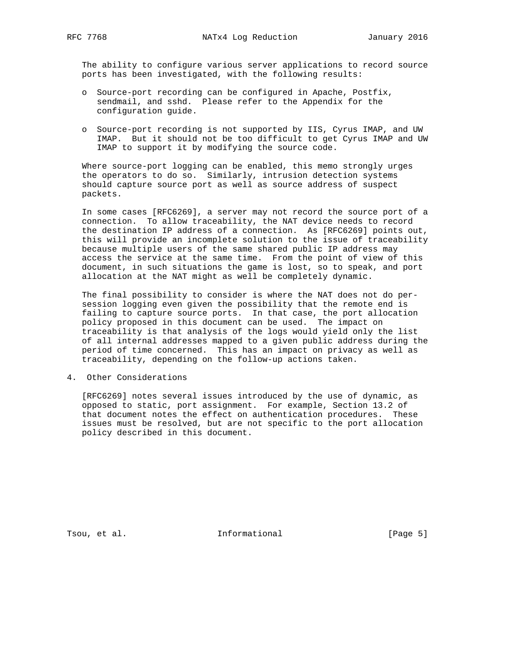The ability to configure various server applications to record source ports has been investigated, with the following results:

- o Source-port recording can be configured in Apache, Postfix, sendmail, and sshd. Please refer to the Appendix for the configuration guide.
- o Source-port recording is not supported by IIS, Cyrus IMAP, and UW IMAP. But it should not be too difficult to get Cyrus IMAP and UW IMAP to support it by modifying the source code.

 Where source-port logging can be enabled, this memo strongly urges the operators to do so. Similarly, intrusion detection systems should capture source port as well as source address of suspect packets.

 In some cases [RFC6269], a server may not record the source port of a connection. To allow traceability, the NAT device needs to record the destination IP address of a connection. As [RFC6269] points out, this will provide an incomplete solution to the issue of traceability because multiple users of the same shared public IP address may access the service at the same time. From the point of view of this document, in such situations the game is lost, so to speak, and port allocation at the NAT might as well be completely dynamic.

 The final possibility to consider is where the NAT does not do per session logging even given the possibility that the remote end is failing to capture source ports. In that case, the port allocation policy proposed in this document can be used. The impact on traceability is that analysis of the logs would yield only the list of all internal addresses mapped to a given public address during the period of time concerned. This has an impact on privacy as well as traceability, depending on the follow-up actions taken.

4. Other Considerations

 [RFC6269] notes several issues introduced by the use of dynamic, as opposed to static, port assignment. For example, Section 13.2 of that document notes the effect on authentication procedures. These issues must be resolved, but are not specific to the port allocation policy described in this document.

Tsou, et al. The Informational The Informational [Page 5]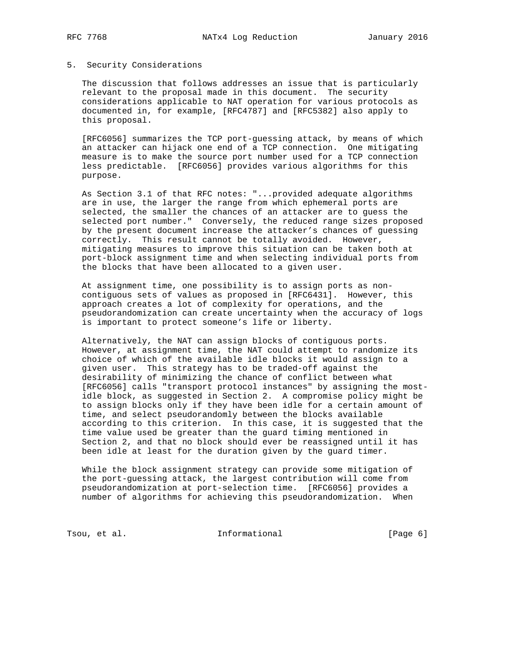## 5. Security Considerations

 The discussion that follows addresses an issue that is particularly relevant to the proposal made in this document. The security considerations applicable to NAT operation for various protocols as documented in, for example, [RFC4787] and [RFC5382] also apply to this proposal.

 [RFC6056] summarizes the TCP port-guessing attack, by means of which an attacker can hijack one end of a TCP connection. One mitigating measure is to make the source port number used for a TCP connection less predictable. [RFC6056] provides various algorithms for this purpose.

 As Section 3.1 of that RFC notes: "...provided adequate algorithms are in use, the larger the range from which ephemeral ports are selected, the smaller the chances of an attacker are to guess the selected port number." Conversely, the reduced range sizes proposed by the present document increase the attacker's chances of guessing correctly. This result cannot be totally avoided. However, mitigating measures to improve this situation can be taken both at port-block assignment time and when selecting individual ports from the blocks that have been allocated to a given user.

 At assignment time, one possibility is to assign ports as non contiguous sets of values as proposed in [RFC6431]. However, this approach creates a lot of complexity for operations, and the pseudorandomization can create uncertainty when the accuracy of logs is important to protect someone's life or liberty.

 Alternatively, the NAT can assign blocks of contiguous ports. However, at assignment time, the NAT could attempt to randomize its choice of which of the available idle blocks it would assign to a given user. This strategy has to be traded-off against the desirability of minimizing the chance of conflict between what [RFC6056] calls "transport protocol instances" by assigning the most idle block, as suggested in Section 2. A compromise policy might be to assign blocks only if they have been idle for a certain amount of time, and select pseudorandomly between the blocks available according to this criterion. In this case, it is suggested that the time value used be greater than the guard timing mentioned in Section 2, and that no block should ever be reassigned until it has been idle at least for the duration given by the guard timer.

 While the block assignment strategy can provide some mitigation of the port-guessing attack, the largest contribution will come from pseudorandomization at port-selection time. [RFC6056] provides a number of algorithms for achieving this pseudorandomization. When

Tsou, et al. The informational The Informational [Page 6]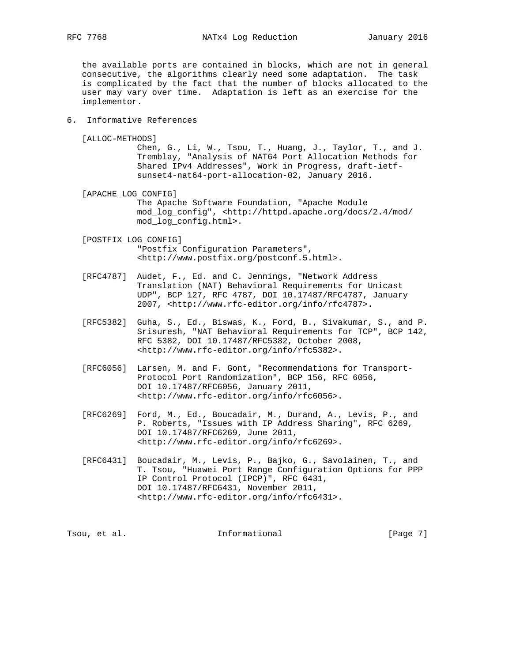the available ports are contained in blocks, which are not in general consecutive, the algorithms clearly need some adaptation. The task is complicated by the fact that the number of blocks allocated to the user may vary over time. Adaptation is left as an exercise for the implementor.

- 6. Informative References
	- [ALLOC-METHODS]

 Chen, G., Li, W., Tsou, T., Huang, J., Taylor, T., and J. Tremblay, "Analysis of NAT64 Port Allocation Methods for Shared IPv4 Addresses", Work in Progress, draft-ietf sunset4-nat64-port-allocation-02, January 2016.

[APACHE\_LOG\_CONFIG]

 The Apache Software Foundation, "Apache Module mod\_log\_config", <http://httpd.apache.org/docs/2.4/mod/ mod\_log\_config.html>.

 [POSTFIX\_LOG\_CONFIG] "Postfix Configuration Parameters", <http://www.postfix.org/postconf.5.html>.

- [RFC4787] Audet, F., Ed. and C. Jennings, "Network Address Translation (NAT) Behavioral Requirements for Unicast UDP", BCP 127, RFC 4787, DOI 10.17487/RFC4787, January 2007, <http://www.rfc-editor.org/info/rfc4787>.
- [RFC5382] Guha, S., Ed., Biswas, K., Ford, B., Sivakumar, S., and P. Srisuresh, "NAT Behavioral Requirements for TCP", BCP 142, RFC 5382, DOI 10.17487/RFC5382, October 2008, <http://www.rfc-editor.org/info/rfc5382>.
- [RFC6056] Larsen, M. and F. Gont, "Recommendations for Transport- Protocol Port Randomization", BCP 156, RFC 6056, DOI 10.17487/RFC6056, January 2011, <http://www.rfc-editor.org/info/rfc6056>.
- [RFC6269] Ford, M., Ed., Boucadair, M., Durand, A., Levis, P., and P. Roberts, "Issues with IP Address Sharing", RFC 6269, DOI 10.17487/RFC6269, June 2011, <http://www.rfc-editor.org/info/rfc6269>.
- [RFC6431] Boucadair, M., Levis, P., Bajko, G., Savolainen, T., and T. Tsou, "Huawei Port Range Configuration Options for PPP IP Control Protocol (IPCP)", RFC 6431, DOI 10.17487/RFC6431, November 2011, <http://www.rfc-editor.org/info/rfc6431>.

Tsou, et al. The informational Transformational [Page 7]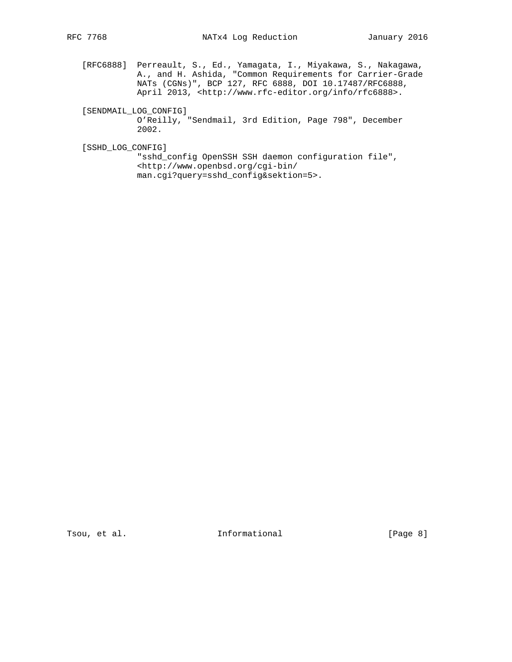[RFC6888] Perreault, S., Ed., Yamagata, I., Miyakawa, S., Nakagawa, A., and H. Ashida, "Common Requirements for Carrier-Grade NATs (CGNs)", BCP 127, RFC 6888, DOI 10.17487/RFC6888, April 2013, <http://www.rfc-editor.org/info/rfc6888>.

[SENDMAIL\_LOG\_CONFIG]

 O'Reilly, "Sendmail, 3rd Edition, Page 798", December 2002.

[SSHD\_LOG\_CONFIG]

 "sshd\_config OpenSSH SSH daemon configuration file", <http://www.openbsd.org/cgi-bin/ man.cgi?query=sshd\_config&sektion=5>.

Tsou, et al. 10. Informational 1. [Page 8]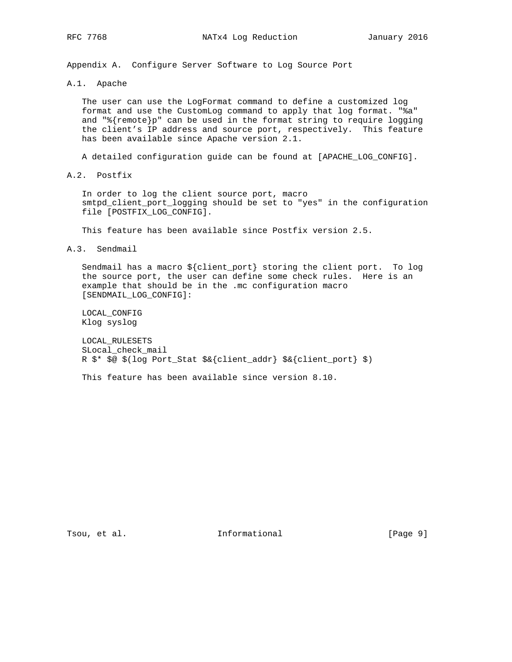Appendix A. Configure Server Software to Log Source Port

A.1. Apache

 The user can use the LogFormat command to define a customized log format and use the CustomLog command to apply that log format. "%a" and "%{remote}p" can be used in the format string to require logging the client's IP address and source port, respectively. This feature has been available since Apache version 2.1.

A detailed configuration guide can be found at [APACHE\_LOG\_CONFIG].

A.2. Postfix

 In order to log the client source port, macro smtpd\_client\_port\_logging should be set to "yes" in the configuration file [POSTFIX\_LOG\_CONFIG].

This feature has been available since Postfix version 2.5.

A.3. Sendmail

 Sendmail has a macro \${client\_port} storing the client port. To log the source port, the user can define some check rules. Here is an example that should be in the .mc configuration macro [SENDMAIL\_LOG\_CONFIG]:

 LOCAL\_CONFIG Klog syslog

 LOCAL\_RULESETS SLocal\_check\_mail R \$\* \$@ \$(log Port\_Stat \$&{client\_addr} \$&{client\_port} \$)

This feature has been available since version 8.10.

Tsou, et al. The Informational The Informational [Page 9]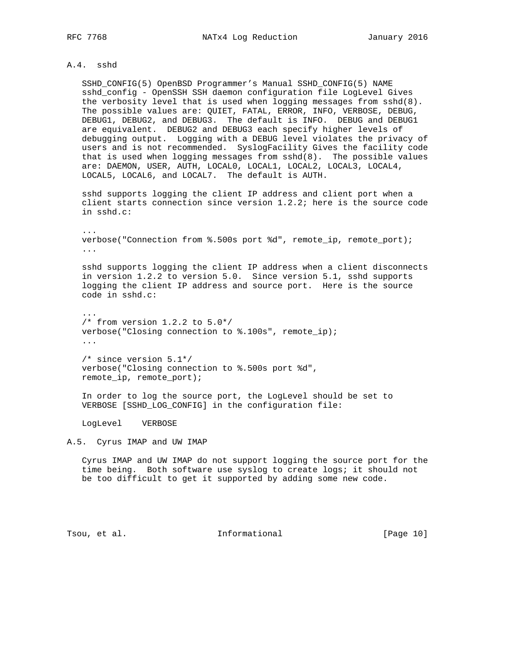## A.4. sshd

 SSHD\_CONFIG(5) OpenBSD Programmer's Manual SSHD\_CONFIG(5) NAME sshd\_config - OpenSSH SSH daemon configuration file LogLevel Gives the verbosity level that is used when logging messages from sshd(8). The possible values are: QUIET, FATAL, ERROR, INFO, VERBOSE, DEBUG, DEBUG1, DEBUG2, and DEBUG3. The default is INFO. DEBUG and DEBUG1 are equivalent. DEBUG2 and DEBUG3 each specify higher levels of debugging output. Logging with a DEBUG level violates the privacy of users and is not recommended. SyslogFacility Gives the facility code that is used when logging messages from sshd(8). The possible values are: DAEMON, USER, AUTH, LOCAL0, LOCAL1, LOCAL2, LOCAL3, LOCAL4, LOCAL5, LOCAL6, and LOCAL7. The default is AUTH.

 sshd supports logging the client IP address and client port when a client starts connection since version 1.2.2; here is the source code in sshd.c:

 ... verbose("Connection from %.500s port %d", remote\_ip, remote\_port); ...

 sshd supports logging the client IP address when a client disconnects in version 1.2.2 to version 5.0. Since version 5.1, sshd supports logging the client IP address and source port. Here is the source code in sshd.c:

 ...  $/*$  from version 1.2.2 to 5.0\*/ verbose("Closing connection to %.100s", remote\_ip); ...

 /\* since version 5.1\*/ verbose("Closing connection to %.500s port %d", remote\_ip, remote\_port);

 In order to log the source port, the LogLevel should be set to VERBOSE [SSHD\_LOG\_CONFIG] in the configuration file:

LogLevel VERBOSE

A.5. Cyrus IMAP and UW IMAP

 Cyrus IMAP and UW IMAP do not support logging the source port for the time being. Both software use syslog to create logs; it should not be too difficult to get it supported by adding some new code.

Tsou, et al. The informational Trage 10]